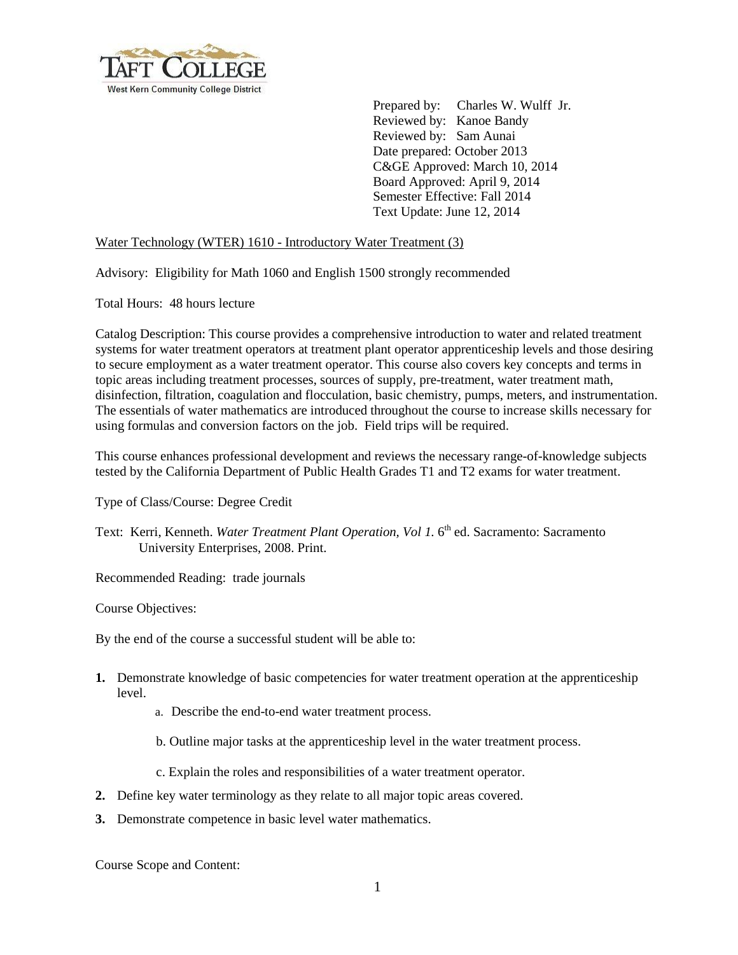

 Prepared by: Charles W. Wulff Jr. Reviewed by: Kanoe Bandy Reviewed by: Sam Aunai Date prepared: October 2013 C&GE Approved: March 10, 2014 Board Approved: April 9, 2014 Semester Effective: Fall 2014 Text Update: June 12, 2014

## Water Technology (WTER) 1610 - Introductory Water Treatment (3)

Advisory: Eligibility for Math 1060 and English 1500 strongly recommended

Total Hours: 48 hours lecture

Catalog Description: This course provides a comprehensive introduction to water and related treatment systems for water treatment operators at treatment plant operator apprenticeship levels and those desiring to secure employment as a water treatment operator. This course also covers key concepts and terms in topic areas including treatment processes, sources of supply, pre-treatment, water treatment math, disinfection, filtration, coagulation and flocculation, basic chemistry, pumps, meters, and instrumentation. The essentials of water mathematics are introduced throughout the course to increase skills necessary for using formulas and conversion factors on the job. Field trips will be required.

This course enhances professional development and reviews the necessary range-of-knowledge subjects tested by the California Department of Public Health Grades T1 and T2 exams for water treatment.

Type of Class/Course: Degree Credit

Text: Kerri, Kenneth. *Water Treatment Plant Operation, Vol 1.* 6<sup>th</sup> ed. Sacramento: Sacramento University Enterprises, 2008. Print.

Recommended Reading: trade journals

Course Objectives:

By the end of the course a successful student will be able to:

- **1.** Demonstrate knowledge of basic competencies for water treatment operation at the apprenticeship level.
	- a. Describe the end-to-end water treatment process.
	- b. Outline major tasks at the apprenticeship level in the water treatment process.
	- c. Explain the roles and responsibilities of a water treatment operator.
- **2.** Define key water terminology as they relate to all major topic areas covered.
- **3.** Demonstrate competence in basic level water mathematics.

Course Scope and Content: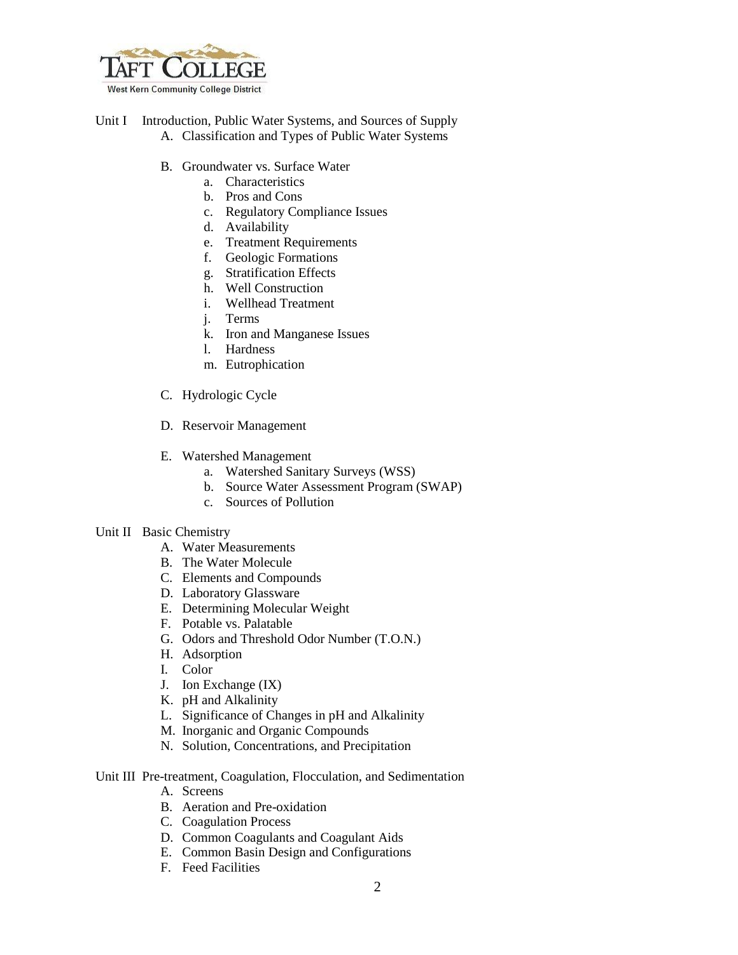

- Unit I Introduction, Public Water Systems, and Sources of Supply A. Classification and Types of Public Water Systems
	- B. Groundwater vs. Surface Water
		- a. Characteristics
		- b. Pros and Cons
		- c. Regulatory Compliance Issues
		- d. Availability
		- e. Treatment Requirements
		- f. Geologic Formations
		- g. Stratification Effects
		- h. Well Construction
		- i. Wellhead Treatment
		- j. Terms
		- k. Iron and Manganese Issues
		- l. Hardness
		- m. Eutrophication
	- C. Hydrologic Cycle
	- D. Reservoir Management
	- E. Watershed Management
		- a. Watershed Sanitary Surveys (WSS)
		- b. Source Water Assessment Program (SWAP)
		- c. Sources of Pollution

#### Unit II Basic Chemistry

- A. Water Measurements
- B. The Water Molecule
- C. Elements and Compounds
- D. Laboratory Glassware
- E. Determining Molecular Weight
- F. Potable vs. Palatable
- G. Odors and Threshold Odor Number (T.O.N.)
- H. Adsorption
- I. Color
- J. Ion Exchange (IX)
- K. pH and Alkalinity
- L. Significance of Changes in pH and Alkalinity
- M. Inorganic and Organic Compounds
- N. Solution, Concentrations, and Precipitation

### Unit III Pre-treatment, Coagulation, Flocculation, and Sedimentation

- A. Screens
- B. Aeration and Pre-oxidation
- C. Coagulation Process
- D. Common Coagulants and Coagulant Aids
- E. Common Basin Design and Configurations
- F. Feed Facilities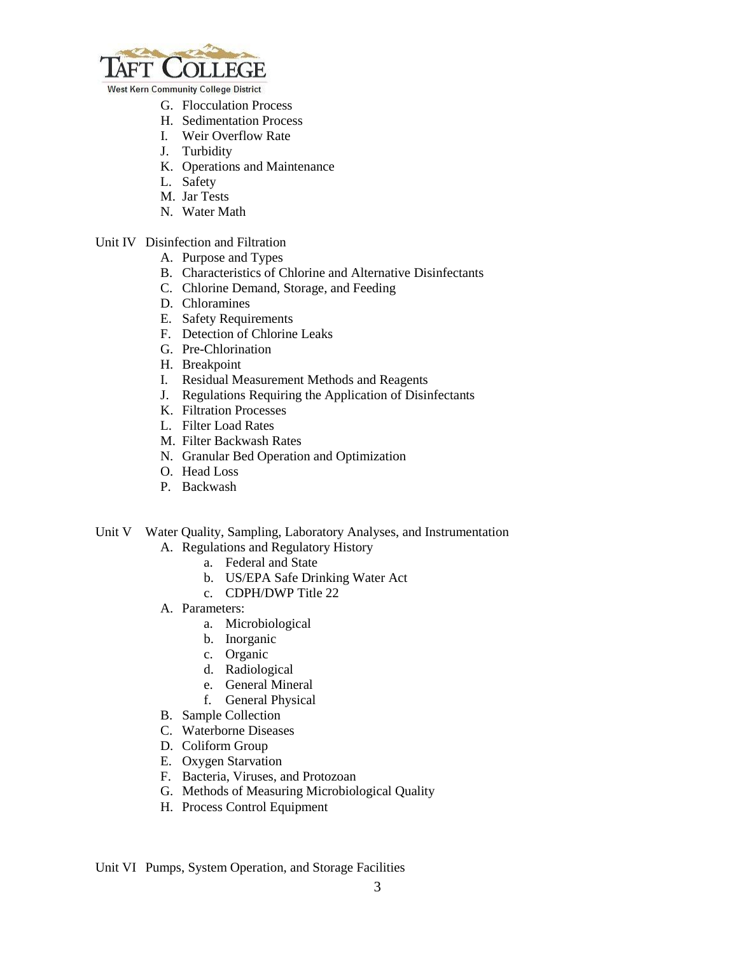

**West Kern Community College District** 

- G. Flocculation Process
- H. Sedimentation Process
- I. Weir Overflow Rate
- J. Turbidity
- K. Operations and Maintenance
- L. Safety
- M. Jar Tests
- N. Water Math

# Unit IV Disinfection and Filtration

- A. Purpose and Types
- B. Characteristics of Chlorine and Alternative Disinfectants
- C. Chlorine Demand, Storage, and Feeding
- D. Chloramines
- E. Safety Requirements
- F. Detection of Chlorine Leaks
- G. Pre-Chlorination
- H. Breakpoint
- I. Residual Measurement Methods and Reagents
- J. Regulations Requiring the Application of Disinfectants
- K. Filtration Processes
- L. Filter Load Rates
- M. Filter Backwash Rates
- N. Granular Bed Operation and Optimization
- O. Head Loss
- P. Backwash
- Unit V Water Quality, Sampling, Laboratory Analyses, and Instrumentation
	- A. Regulations and Regulatory History
		- a. Federal and State
		- b. US/EPA Safe Drinking Water Act
		- c. CDPH/DWP Title 22
	- A. Parameters:
		- a. Microbiological
		- b. Inorganic
		- c. Organic
		- d. Radiological
		- e. General Mineral
		- f. General Physical
	- B. Sample Collection
	- C. Waterborne Diseases
	- D. Coliform Group
	- E. Oxygen Starvation
	- F. Bacteria, Viruses, and Protozoan
	- G. Methods of Measuring Microbiological Quality
	- H. Process Control Equipment

Unit VI Pumps, System Operation, and Storage Facilities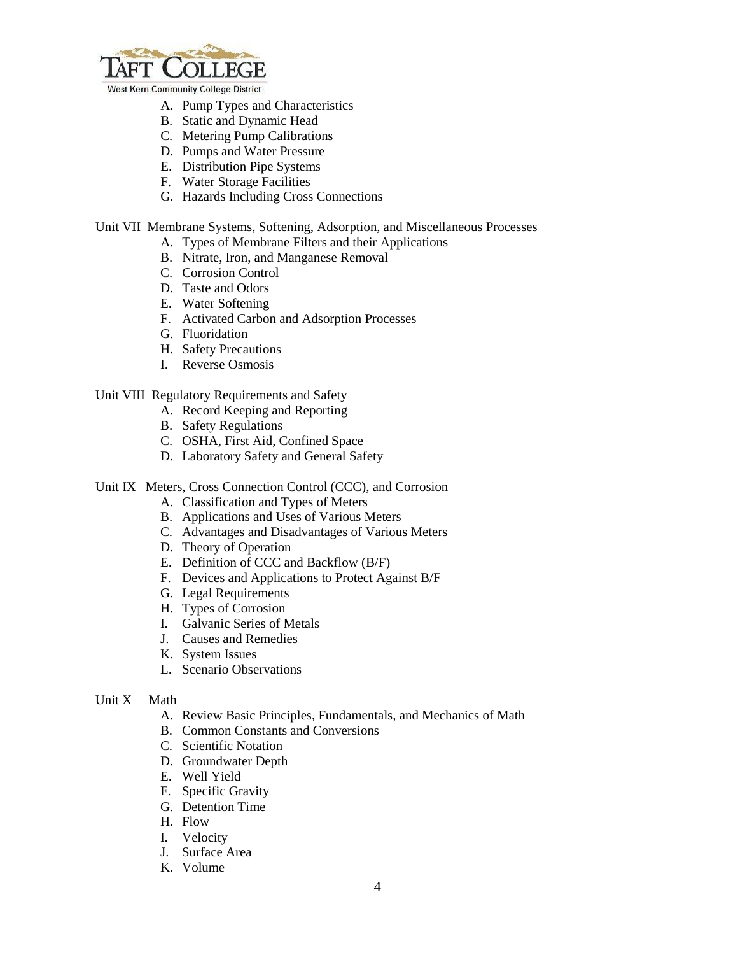

**West Kern Community College District** 

- A. Pump Types and Characteristics
- B. Static and Dynamic Head
- C. Metering Pump Calibrations
- D. Pumps and Water Pressure
- E. Distribution Pipe Systems
- F. Water Storage Facilities
- G. Hazards Including Cross Connections

#### Unit VII Membrane Systems, Softening, Adsorption, and Miscellaneous Processes

- A. Types of Membrane Filters and their Applications
- B. Nitrate, Iron, and Manganese Removal
- C. Corrosion Control
- D. Taste and Odors
- E. Water Softening
- F. Activated Carbon and Adsorption Processes
- G. Fluoridation
- H. Safety Precautions
- I. Reverse Osmosis

### Unit VIII Regulatory Requirements and Safety

- A. Record Keeping and Reporting
- B. Safety Regulations
- C. OSHA, First Aid, Confined Space
- D. Laboratory Safety and General Safety
- Unit IX Meters, Cross Connection Control (CCC), and Corrosion
	- A. Classification and Types of Meters
	- B. Applications and Uses of Various Meters
	- C. Advantages and Disadvantages of Various Meters
	- D. Theory of Operation
	- E. Definition of CCC and Backflow (B/F)
	- F. Devices and Applications to Protect Against B/F
	- G. Legal Requirements
	- H. Types of Corrosion
	- I. Galvanic Series of Metals
	- J. Causes and Remedies
	- K. System Issues
	- L. Scenario Observations
- Unit X Math
	- A. Review Basic Principles, Fundamentals, and Mechanics of Math
	- B. Common Constants and Conversions
	- C. Scientific Notation
	- D. Groundwater Depth
	- E. Well Yield
	- F. Specific Gravity
	- G. Detention Time
	- H. Flow
	- I. Velocity
	- J. Surface Area
	- K. Volume